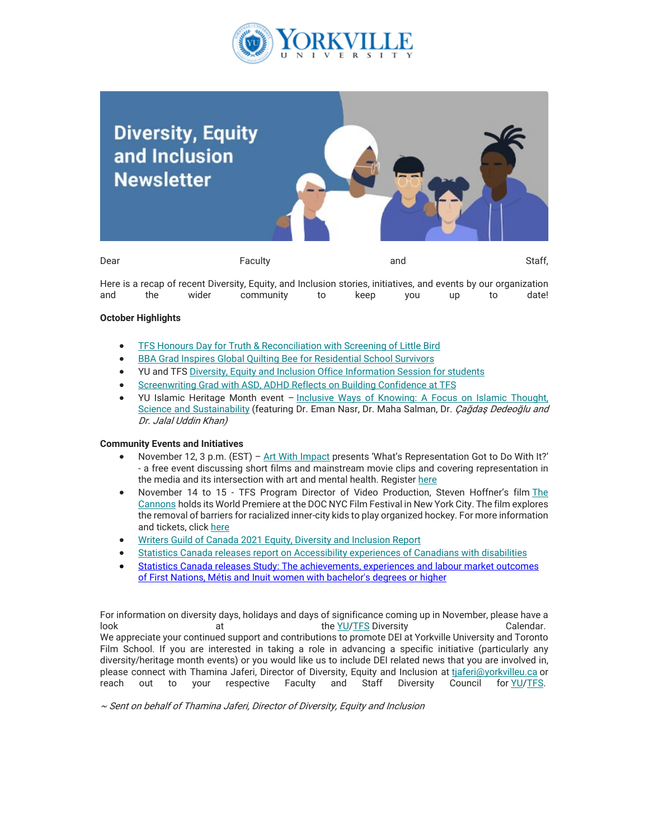

## **Diversity, Equity** and Inclusion **Newsletter** Dear Faculty and Staff,

Here is a recap of recent Diversity, Equity, and Inclusion stories, initiatives, and events by our organization and the wider community to keep you up to date!

## **October Highlights**

- [TFS Honours Day for Truth & Reconciliation with Screening of Little Bird](https://can01.safelinks.protection.outlook.com/?url=https%3A%2F%2Fwww.torontofilmschool.ca%2Fblog%2Ftfs-honours-day-for-truth-reconciliation-with-screening-of-little-bird%2F&data=05%7C01%7Cmfraser%40yorkvilleu.ca%7Cc2381d1217954391691008da4d5fca42%7C8e5c33be6efe45efb1956787de8fd649%7C0%7C0%7C637907371044402114%7CUnknown%7CTWFpbGZsb3d8eyJWIjoiMC4wLjAwMDAiLCJQIjoiV2luMzIiLCJBTiI6Ik1haWwiLCJXVCI6Mn0%3D%7C3000%7C%7C%7C&sdata=GvC8zcvJTjpvgtnJH0BbTk2kssx4ffz0UaOBNc8DY%2F4%3D&reserved=0)
- [BBA Grad Inspires Global Quilting Bee for Residential School Survivors](https://can01.safelinks.protection.outlook.com/?url=https%3A%2F%2Fwww.yorkvilleu.ca%2Fbba-grad-inspires-global-quilting-bee-for-residential-school-survivors&data=05%7C01%7Cmfraser%40yorkvilleu.ca%7Cc2381d1217954391691008da4d5fca42%7C8e5c33be6efe45efb1956787de8fd649%7C0%7C0%7C637907371044402114%7CUnknown%7CTWFpbGZsb3d8eyJWIjoiMC4wLjAwMDAiLCJQIjoiV2luMzIiLCJBTiI6Ik1haWwiLCJXVCI6Mn0%3D%7C3000%7C%7C%7C&sdata=08l2Q5mHu%2FUUYUaeZQwl0BHhS0O06uLqdjZY8iRB6hk%3D&reserved=0)
- YU and TFS [Diversity, Equity and Inclusion Office Information Session for students](https://can01.safelinks.protection.outlook.com/?url=https%3A%2F%2Fwww.youtube.com%2Fwatch%3Fv%3DfVbtqfHf5_Y&data=05%7C01%7Cmfraser%40yorkvilleu.ca%7Cc2381d1217954391691008da4d5fca42%7C8e5c33be6efe45efb1956787de8fd649%7C0%7C0%7C637907371044402114%7CUnknown%7CTWFpbGZsb3d8eyJWIjoiMC4wLjAwMDAiLCJQIjoiV2luMzIiLCJBTiI6Ik1haWwiLCJXVCI6Mn0%3D%7C3000%7C%7C%7C&sdata=JS6d3myd3O8f6ZHpW2O0xTQqiitQoAg2gkMIZ0jlX7s%3D&reserved=0)
- [Screenwriting Grad with ASD, ADHD Reflects on Building Confidence at TFS](https://can01.safelinks.protection.outlook.com/?url=https%3A%2F%2Fwww.torontofilmschool.ca%2Fblog%2Fguest-blog-screenwriting-grad-with-asd-adhd-reflects-on-building-confidence-at-tfs%2F&data=05%7C01%7Cmfraser%40yorkvilleu.ca%7Cc2381d1217954391691008da4d5fca42%7C8e5c33be6efe45efb1956787de8fd649%7C0%7C0%7C637907371044402114%7CUnknown%7CTWFpbGZsb3d8eyJWIjoiMC4wLjAwMDAiLCJQIjoiV2luMzIiLCJBTiI6Ik1haWwiLCJXVCI6Mn0%3D%7C3000%7C%7C%7C&sdata=Rs2UHYVo0N499gJTQVa0aERBi5GwkQlMGMivSfqijCs%3D&reserved=0)
- YU Islamic Heritage Month event – [Inclusive Ways of Knowing: A Focus on Islamic Thought,](https://can01.safelinks.protection.outlook.com/?url=https%3A%2F%2Fwww.youtube.com%2Fwatch%3Fv%3DyJ0WXTmOzKQ&data=05%7C01%7Cmfraser%40yorkvilleu.ca%7Cc2381d1217954391691008da4d5fca42%7C8e5c33be6efe45efb1956787de8fd649%7C0%7C0%7C637907371044402114%7CUnknown%7CTWFpbGZsb3d8eyJWIjoiMC4wLjAwMDAiLCJQIjoiV2luMzIiLCJBTiI6Ik1haWwiLCJXVCI6Mn0%3D%7C3000%7C%7C%7C&sdata=td1INLguUdpzyz0j%2BxHQ97u3pMQxRXp5RtvhrYvJqF8%3D&reserved=0) [Science and Sustainability](https://can01.safelinks.protection.outlook.com/?url=https%3A%2F%2Fwww.youtube.com%2Fwatch%3Fv%3DyJ0WXTmOzKQ&data=05%7C01%7Cmfraser%40yorkvilleu.ca%7Cc2381d1217954391691008da4d5fca42%7C8e5c33be6efe45efb1956787de8fd649%7C0%7C0%7C637907371044402114%7CUnknown%7CTWFpbGZsb3d8eyJWIjoiMC4wLjAwMDAiLCJQIjoiV2luMzIiLCJBTiI6Ik1haWwiLCJXVCI6Mn0%3D%7C3000%7C%7C%7C&sdata=td1INLguUdpzyz0j%2BxHQ97u3pMQxRXp5RtvhrYvJqF8%3D&reserved=0) (featuring Dr. Eman Nasr, Dr. Maha Salman, Dr. Cağdaş Dedeoğlu and Dr. Jalal Uddin Khan)

## **Community Events and Initiatives**

- November 12, 3 p.m. (EST)  [Art With Impact](https://can01.safelinks.protection.outlook.com/?url=https%3A%2F%2Fartwithimpact.org%2F&data=05%7C01%7Cmfraser%40yorkvilleu.ca%7Cc2381d1217954391691008da4d5fca42%7C8e5c33be6efe45efb1956787de8fd649%7C0%7C0%7C637907371044402114%7CUnknown%7CTWFpbGZsb3d8eyJWIjoiMC4wLjAwMDAiLCJQIjoiV2luMzIiLCJBTiI6Ik1haWwiLCJXVCI6Mn0%3D%7C3000%7C%7C%7C&sdata=iGIFAFXwVm8vp00weBkg1t05ZWmJcGxdmqHXcXEKXbY%3D&reserved=0) presents 'What's Representation Got to Do With It?' - a free event discussing short films and mainstream movie clips and covering representation in the media and its intersection with art and mental health. Register [here](https://can01.safelinks.protection.outlook.com/?url=https%3A%2F%2Fwww.eventbrite.com%2Fe%2Fawi-sanctuary-space-presents-whats-representation-got-to-do-with-it-tickets-194625820067&data=05%7C01%7Cmfraser%40yorkvilleu.ca%7Cc2381d1217954391691008da4d5fca42%7C8e5c33be6efe45efb1956787de8fd649%7C0%7C0%7C637907371044402114%7CUnknown%7CTWFpbGZsb3d8eyJWIjoiMC4wLjAwMDAiLCJQIjoiV2luMzIiLCJBTiI6Ik1haWwiLCJXVCI6Mn0%3D%7C3000%7C%7C%7C&sdata=Dv8HMs9leAYqKkyDR6d3oSNa9ILGGXPeDX0cFTHfTxA%3D&reserved=0)
- November 14 to 15 TFS Program Director of Video Production, Steven Hoffner's film [The](https://can01.safelinks.protection.outlook.com/?url=https%3A%2F%2Fwww.youtube.com%2Fwatch%3Fv%3Dn1bhLnzPkC8&data=05%7C01%7Cmfraser%40yorkvilleu.ca%7Cc2381d1217954391691008da4d5fca42%7C8e5c33be6efe45efb1956787de8fd649%7C0%7C0%7C637907371044402114%7CUnknown%7CTWFpbGZsb3d8eyJWIjoiMC4wLjAwMDAiLCJQIjoiV2luMzIiLCJBTiI6Ik1haWwiLCJXVCI6Mn0%3D%7C3000%7C%7C%7C&sdata=sjw6bZNtwVf%2FIKWt7xiLQyUzpcQAHvsGyUOwjzJsIjc%3D&reserved=0) [Cannons](https://can01.safelinks.protection.outlook.com/?url=https%3A%2F%2Fwww.youtube.com%2Fwatch%3Fv%3Dn1bhLnzPkC8&data=05%7C01%7Cmfraser%40yorkvilleu.ca%7Cc2381d1217954391691008da4d5fca42%7C8e5c33be6efe45efb1956787de8fd649%7C0%7C0%7C637907371044402114%7CUnknown%7CTWFpbGZsb3d8eyJWIjoiMC4wLjAwMDAiLCJQIjoiV2luMzIiLCJBTiI6Ik1haWwiLCJXVCI6Mn0%3D%7C3000%7C%7C%7C&sdata=sjw6bZNtwVf%2FIKWt7xiLQyUzpcQAHvsGyUOwjzJsIjc%3D&reserved=0) holds its World Premiere at the DOC NYC Film Festival in New York City. The film explores the removal of barriers for racialized inner-city kids to play organized hockey. For more information and tickets, click [here](https://can01.safelinks.protection.outlook.com/?url=https%3A%2F%2Fwww.docnyc.net%2Ffilm%2Fthe-cannons%2F&data=05%7C01%7Cmfraser%40yorkvilleu.ca%7Cc2381d1217954391691008da4d5fca42%7C8e5c33be6efe45efb1956787de8fd649%7C0%7C0%7C637907371044402114%7CUnknown%7CTWFpbGZsb3d8eyJWIjoiMC4wLjAwMDAiLCJQIjoiV2luMzIiLCJBTiI6Ik1haWwiLCJXVCI6Mn0%3D%7C3000%7C%7C%7C&sdata=B0IKbjUic2OpIfyDwcLOb9SnmhlQoG9w0xWw8MYJL4A%3D&reserved=0)
- [Writers Guild of Canada 2021 Equity, Diversity and Inclusion Report](https://can01.safelinks.protection.outlook.com/?url=https%3A%2F%2Fwww.wgc.ca%2Fsites%2Fdefault%2Ffiles%2F2021-10%2FWGC.EDI_.Report.Oct21_0.pdf&data=05%7C01%7Cmfraser%40yorkvilleu.ca%7Cc2381d1217954391691008da4d5fca42%7C8e5c33be6efe45efb1956787de8fd649%7C0%7C0%7C637907371044402114%7CUnknown%7CTWFpbGZsb3d8eyJWIjoiMC4wLjAwMDAiLCJQIjoiV2luMzIiLCJBTiI6Ik1haWwiLCJXVCI6Mn0%3D%7C3000%7C%7C%7C&sdata=8Blvbfd8v86o6wTy9Nf9T5Tg9NlCYYJKgJ8gxrP7Q1Q%3D&reserved=0)
- [Statistics Canada releases report on Accessibility experiences of Canadians with disabilities](https://can01.safelinks.protection.outlook.com/?url=https%3A%2F%2Fwww150.statcan.gc.ca%2Fn1%2Fdaily-quotidien%2F211027%2Fdq211027d-eng.htm%3FCMP%3Dmstatcan&data=05%7C01%7Cmfraser%40yorkvilleu.ca%7Cc2381d1217954391691008da4d5fca42%7C8e5c33be6efe45efb1956787de8fd649%7C0%7C0%7C637907371044402114%7CUnknown%7CTWFpbGZsb3d8eyJWIjoiMC4wLjAwMDAiLCJQIjoiV2luMzIiLCJBTiI6Ik1haWwiLCJXVCI6Mn0%3D%7C3000%7C%7C%7C&sdata=jQ%2FcIuBOCQQY9yN2fgcPEqkQImN9zKxIMAxZvKnaX%2BM%3D&reserved=0)
- [Statistics Canada releases Study: The achievements, experiences and labour market outcomes](https://can01.safelinks.protection.outlook.com/?url=https%3A%2F%2Fwww150.statcan.gc.ca%2Fn1%2Fdaily-quotidien%2F211020%2Fdq211020b-eng.htm&data=05%7C01%7Cmfraser%40yorkvilleu.ca%7Cc2381d1217954391691008da4d5fca42%7C8e5c33be6efe45efb1956787de8fd649%7C0%7C0%7C637907371044402114%7CUnknown%7CTWFpbGZsb3d8eyJWIjoiMC4wLjAwMDAiLCJQIjoiV2luMzIiLCJBTiI6Ik1haWwiLCJXVCI6Mn0%3D%7C3000%7C%7C%7C&sdata=QZO5fD1UwH02ZJOYxJ8ohOl9P7nMLJFqKzBAutfh6Os%3D&reserved=0) of First Nations, [Métis and Inuit women with bachelor's degrees or higher](https://can01.safelinks.protection.outlook.com/?url=https%3A%2F%2Fwww150.statcan.gc.ca%2Fn1%2Fdaily-quotidien%2F211020%2Fdq211020b-eng.htm&data=05%7C01%7Cmfraser%40yorkvilleu.ca%7Cc2381d1217954391691008da4d5fca42%7C8e5c33be6efe45efb1956787de8fd649%7C0%7C0%7C637907371044402114%7CUnknown%7CTWFpbGZsb3d8eyJWIjoiMC4wLjAwMDAiLCJQIjoiV2luMzIiLCJBTiI6Ik1haWwiLCJXVCI6Mn0%3D%7C3000%7C%7C%7C&sdata=QZO5fD1UwH02ZJOYxJ8ohOl9P7nMLJFqKzBAutfh6Os%3D&reserved=0)

For information on diversity days, holidays and days of significance coming up in November, please have a look at the [YU/](https://can01.safelinks.protection.outlook.com/?url=https%3A%2F%2Fmy.yorkvilleu.ca%2Fwp-content%2Fuploads%2F2020%2F12%2FDiversity_Calendar-YU.pdf&data=05%7C01%7Cmfraser%40yorkvilleu.ca%7Cc2381d1217954391691008da4d5fca42%7C8e5c33be6efe45efb1956787de8fd649%7C0%7C0%7C637907371044402114%7CUnknown%7CTWFpbGZsb3d8eyJWIjoiMC4wLjAwMDAiLCJQIjoiV2luMzIiLCJBTiI6Ik1haWwiLCJXVCI6Mn0%3D%7C3000%7C%7C%7C&sdata=TdoZWIjZenpj0oxFnTZ9G2Fv3D3sw4RVBtcchwalFC4%3D&reserved=0)[TFS](https://can01.safelinks.protection.outlook.com/?url=https%3A%2F%2Fmy.yorkvilleu.ca%2Fwp-content%2Fuploads%2F2020%2F12%2FDiversity_Calendar-TFS.pdf&data=05%7C01%7Cmfraser%40yorkvilleu.ca%7Cc2381d1217954391691008da4d5fca42%7C8e5c33be6efe45efb1956787de8fd649%7C0%7C0%7C637907371044402114%7CUnknown%7CTWFpbGZsb3d8eyJWIjoiMC4wLjAwMDAiLCJQIjoiV2luMzIiLCJBTiI6Ik1haWwiLCJXVCI6Mn0%3D%7C3000%7C%7C%7C&sdata=a7NhP9GNAZf0rPYYXmjHY2o3w5GxhD84%2B1IoqflnMIg%3D&reserved=0) Diversity Calendar. We appreciate your continued support and contributions to promote DEI at Yorkville University and Toronto Film School. If you are interested in taking a role in advancing a specific initiative (particularly any diversity/heritage month events) or you would like us to include DEI related news that you are involved in, please connect with Thamina Jaferi, Director of Diversity, Equity and Inclusion at [tjaferi@yorkvilleu.ca](mailto:tjaferi@yorkvilleu.ca) or reach out to your respective Faculty and Staff Diversity Council for [YU/](https://can01.safelinks.protection.outlook.com/?url=https%3A%2F%2Fwww.yorkvilleu.ca%2Fyorkville-university-announces-members-of-its-new-diversity-advisory-councils%2F&data=05%7C01%7Cmfraser%40yorkvilleu.ca%7Cc2381d1217954391691008da4d5fca42%7C8e5c33be6efe45efb1956787de8fd649%7C0%7C0%7C637907371044558327%7CUnknown%7CTWFpbGZsb3d8eyJWIjoiMC4wLjAwMDAiLCJQIjoiV2luMzIiLCJBTiI6Ik1haWwiLCJXVCI6Mn0%3D%7C3000%7C%7C%7C&sdata=EnZkFl0130vr3BWq1uSFghj5w6SRdTiNkwgrJYQyrok%3D&reserved=0)[TFS.](https://can01.safelinks.protection.outlook.com/?url=https%3A%2F%2Fwww.torontofilmschool.ca%2Fblog%2Ftoronto-film-school-announces-members-of-its-new-diversity-advisory-councils%2F&data=05%7C01%7Cmfraser%40yorkvilleu.ca%7Cc2381d1217954391691008da4d5fca42%7C8e5c33be6efe45efb1956787de8fd649%7C0%7C0%7C637907371044558327%7CUnknown%7CTWFpbGZsb3d8eyJWIjoiMC4wLjAwMDAiLCJQIjoiV2luMzIiLCJBTiI6Ik1haWwiLCJXVCI6Mn0%3D%7C3000%7C%7C%7C&sdata=ZlOsQPaTJaYIAwfTk4iIHx9xd2WFLlK%2FVgK6MFvOiIk%3D&reserved=0)

~ Sent on behalf of Thamina Jaferi, Director of Diversity, Equity and Inclusion